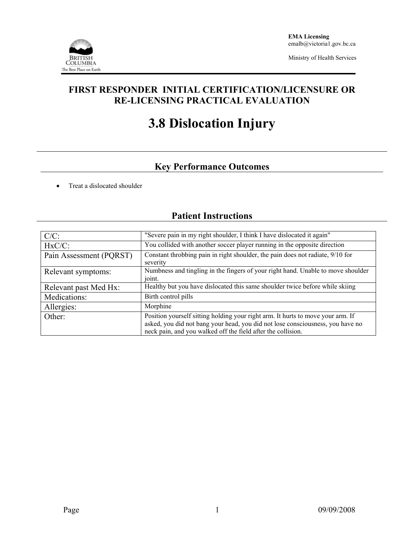

Ministry of Health Services

## **FIRST RESPONDER INITIAL CERTIFICATION/LICENSURE OR RE-LICENSING PRACTICAL EVALUATION**

# **3.8 Dislocation Injury**

# **Key Performance Outcomes**

• Treat a dislocated shoulder

## **Patient Instructions**

| $C/C$ :                 | "Severe pain in my right shoulder, I think I have dislocated it again"                                                                                                                                                            |  |  |  |
|-------------------------|-----------------------------------------------------------------------------------------------------------------------------------------------------------------------------------------------------------------------------------|--|--|--|
| $HxC/C$ :               | You collided with another soccer player running in the opposite direction                                                                                                                                                         |  |  |  |
| Pain Assessment (PQRST) | Constant throbbing pain in right shoulder, the pain does not radiate, 9/10 for<br>severity                                                                                                                                        |  |  |  |
| Relevant symptoms:      | Numbness and tingling in the fingers of your right hand. Unable to move shoulder<br>joint.                                                                                                                                        |  |  |  |
| Relevant past Med Hx:   | Healthy but you have dislocated this same shoulder twice before while skiing                                                                                                                                                      |  |  |  |
| Medications:            | Birth control pills                                                                                                                                                                                                               |  |  |  |
| Allergies:              | Morphine                                                                                                                                                                                                                          |  |  |  |
| Other:                  | Position yourself sitting holding your right arm. It hurts to move your arm. If<br>asked, you did not bang your head, you did not lose consciousness, you have no<br>neck pain, and you walked off the field after the collision. |  |  |  |